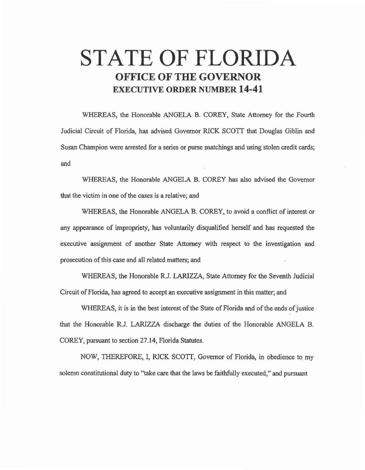# **STATE OF FLORIDA OFFICE OF THE GOVERNOR EXECUTIVE ORDER NUMBER 14-41**

WHEREAS, the Honorable ANGELA B. COREY, State Attorney for the Fourth Judicial Circuit of Florida, has advised Governor RICK SCOTT that Douglas Giblin and Susan Champion were arrested for a series or purse snatchings and using stolen credit cards; and

WHEREAS, the Honorable ANGELA B. COREY has also advised the Governor that the victim in one of the cases is a relative; and

WHEREAS, the Honorable ANGELA B. COREY, to avoid a conflict of interest or any appearance of impropriety, has voluntarily disqualified herself and has requested the executive assignment of another State Attorney with respect to the investigation and prosecution of this case and all related matters; and

WHEREAS, the Honorable R.J. LARIZZA, State Attorney for the Seventh Judicial Circuit of Florida, has agreed to accept an executive assignment in this matter; and

WHEREAS, it is in the best interest of the State of Florida and of the ends of justice that the Honorable R.J. LARIZZA discharge the duties of the Honorable ANGELA B. COREY, pursuant to section 27.14, Florida Statutes.

NOW, THEREFORE, 1, RICK SCOTT, Governor of Florida, in obedience to my solemn constitutional duty to "take care that the laws be faithfully executed," and pursuant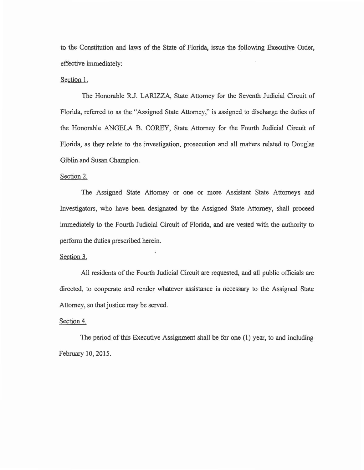to the Constitution and laws of the State of Florida, issue the following Executive Order, effective immediately:

## Section 1.

The Honorable R.J. LARIZZA, State Attorney for the Seventh Judicial Circuit of Florida, referred to as the ''Assigned State Attorney," is assigned to discharge the duties of the Honorable ANGELA B. COREY, State Attorney for the Fourth Judicial Circuit of Florida, as they relate to the investigation, prosecution and all matters related to Douglas Giblin and Susan Champion.

## Section 2.

The Assigned State Attorney or one or more Assistant State Attorneys and Investigators, who have been designated by the Assigned State Attorney, shall proceed immediately to the Fourth Judicial Circuit of Florida, and are vested with the authority to perform the duties prescribed herein.

#### Section 3.

All residents of the Fourth Judicial Circuit are requested, and all public officials are directed, to cooperate and render whatever assistance is necessary to the Assigned State Attorney, so that justice may be served.

### Section 4.

The period of this Executive Assignment shall be for one (1) year, to and including February 10,2015.